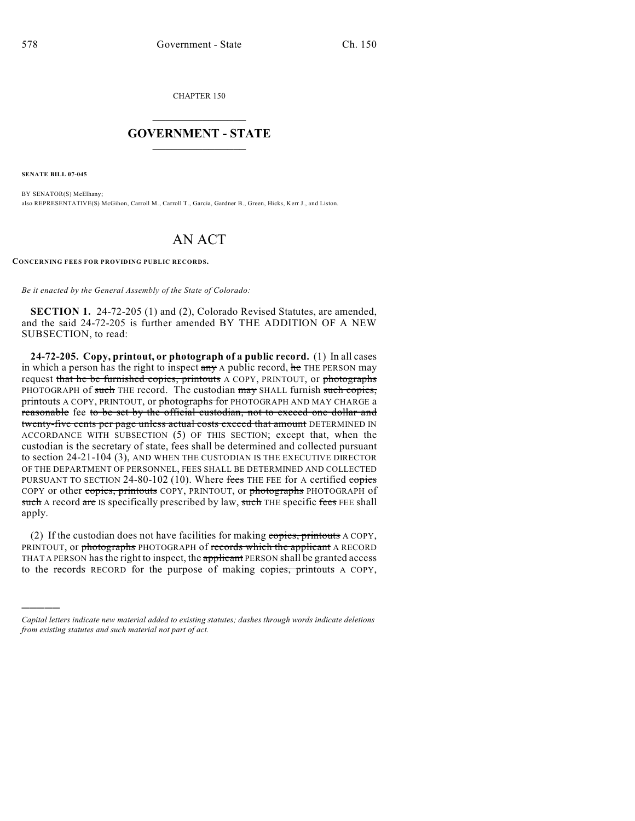CHAPTER 150

## $\mathcal{L}_\text{max}$  . The set of the set of the set of the set of the set of the set of the set of the set of the set of the set of the set of the set of the set of the set of the set of the set of the set of the set of the set **GOVERNMENT - STATE**  $\_$   $\_$   $\_$   $\_$   $\_$   $\_$   $\_$   $\_$

**SENATE BILL 07-045**

)))))

BY SENATOR(S) McElhany; also REPRESENTATIVE(S) McGihon, Carroll M., Carroll T., Garcia, Gardner B., Green, Hicks, Kerr J., and Liston.

## AN ACT

**CONCERNING FEES FOR PROVIDING PUBLIC RECORDS.**

*Be it enacted by the General Assembly of the State of Colorado:*

**SECTION 1.** 24-72-205 (1) and (2), Colorado Revised Statutes, are amended, and the said 24-72-205 is further amended BY THE ADDITION OF A NEW SUBSECTION, to read:

**24-72-205. Copy, printout, or photograph of a public record.** (1) In all cases in which a person has the right to inspect any A public record, he THE PERSON may request that he be furnished copies, printouts A COPY, PRINTOUT, or photographs PHOTOGRAPH of such THE record. The custodian may SHALL furnish such copies, printouts A COPY, PRINTOUT, or photographs for PHOTOGRAPH AND MAY CHARGE a reasonable fee to be set by the official custodian, not to exceed one dollar and twenty-five cents per page unless actual costs exceed that amount DETERMINED IN ACCORDANCE WITH SUBSECTION (5) OF THIS SECTION; except that, when the custodian is the secretary of state, fees shall be determined and collected pursuant to section 24-21-104 (3), AND WHEN THE CUSTODIAN IS THE EXECUTIVE DIRECTOR OF THE DEPARTMENT OF PERSONNEL, FEES SHALL BE DETERMINED AND COLLECTED PURSUANT TO SECTION 24-80-102 (10). Where fees THE FEE for A certified copies COPY or other copies, printouts COPY, PRINTOUT, or photographs PHOTOGRAPH of such A record are IS specifically prescribed by law, such THE specific fees FEE shall apply.

(2) If the custodian does not have facilities for making copies, printouts A COPY, PRINTOUT, or photographs PHOTOGRAPH of records which the applicant A RECORD THAT A PERSON has the right to inspect, the applicant PERSON shall be granted access to the records RECORD for the purpose of making copies, printouts A COPY,

*Capital letters indicate new material added to existing statutes; dashes through words indicate deletions from existing statutes and such material not part of act.*